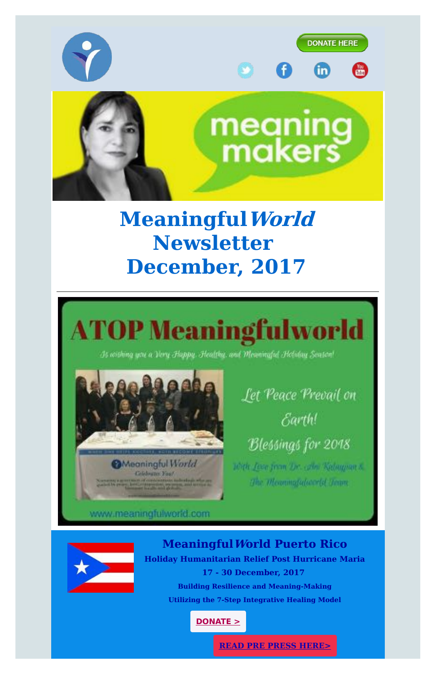**READ PRE PRESS [HERE>](https://d2zhgehghqjuwb.cloudfront.net/accounts/12098/original/Meaningfulworld_Puerto_Rico_Mission_Dec_2017_Pre_Press_V9.pdf?1512574443)**







Is arishing you a Very Happy. Healthy, and Meaningful Heliday Season!

**O**Meaningful World **Crickwater Your** Notes the property and continued the following of the second state of the second state of the second state of the second state of the second state of the second state of the second state of the second state of the second s

Let Peace Prevail on Earth! Blessings for 2018 10th Jose Jean Dr. (20) Keleyman &

The Measungtabourtd Journ

## www.meaningfulworld.com



## **MeaningfulWorld Puerto Rico Holiday Humanitarian Relief Post Hurricane Maria 17 - 30 December, 2017 Building Resilience and Meaning-Making**

**Utilizing the 7-Step Integrative Healing Model**

**[DONATE](http://meaningfulworld.com/get-involved/donation) >**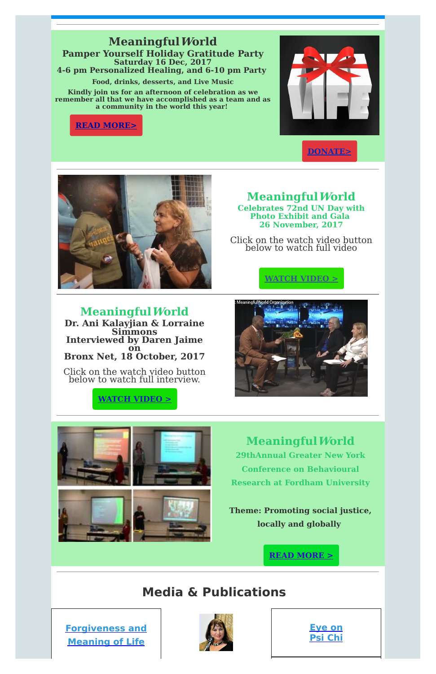### **READ [MORE>](https://d2zhgehghqjuwb.cloudfront.net/accounts/12098/original/Meaningfulworld_16_Dec__2017_Pamper_Yourself_Holiday_Gratitude_Party.pdf?1510697236)**



### **MeaningfulWorld Pamper Yourself Holiday Gratitude Party Saturday 16 Dec, 2017 4-6 pm Personalized Healing, and 6-10 pm Party**

**Food, drinks, desserts, and Live Music**

**Kindly join us for an afternoon of celebration as we remember all that we have accomplished as a team and as a community in the world this year!**

**[DONATE>](http://meaningfulworld.com/get-involved/donation)**



# **MeaningfulWorld**

**Celebrates 72nd UN Day with Photo Exhibit and Gala 26 November, 2017**

Click on the watch video button below to watch full video



**MeaningfulWorld Dr. Ani Kalayjian & Lorraine Simmons Interviewed by Daren Jaime on Bronx Net, 18 October, 2017**

Click on the watch video button below to watch full interview.







**MeaningfulWorld 29thAnnual Greater New York Conference on Behavioural Research at Fordham University**

**Theme: Promoting social justice, locally and globally**



### **Media & Publications**

**[Forgiveness](https://d2zhgehghqjuwb.cloudfront.net/accounts/12098/original/Traumatic_Stress_Symptoms.pdf?1486480892) and Meaning of Life**



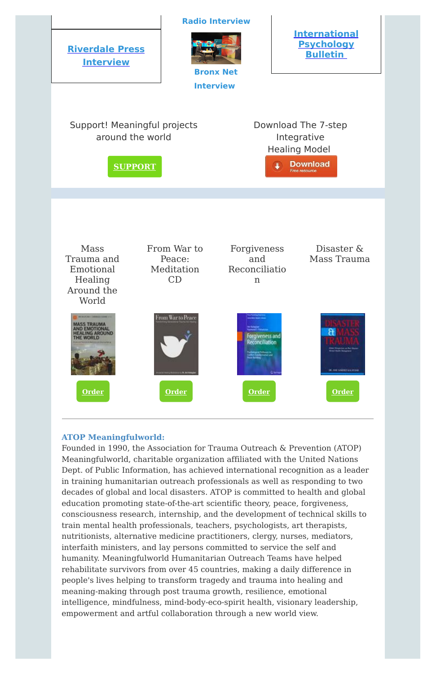

#### **ATOP Meaningfulworld:**

Founded in 1990, the Association for Trauma Outreach & Prevention (ATOP) Meaningfulworld, charitable organization affiliated with the United Nations Dept. of Public Information, has achieved international recognition as a leader in training humanitarian outreach professionals as well as responding to two decades of global and local disasters. ATOP is committed to health and global education promoting state-of-the-art scientific theory, peace, forgiveness, consciousness research, internship, and the development of technical skills to train mental health professionals, teachers, psychologists, art therapists, nutritionists, alternative medicine practitioners, clergy, nurses, mediators, interfaith ministers, and lay persons committed to service the self and humanity. Meaningfulworld Humanitarian Outreach Teams have helped rehabilitate survivors from over 45 countries, making a daily difference in people's lives helping to transform tragedy and trauma into healing and meaning-making through post trauma growth, resilience, emotional intelligence, mindfulness, mind-body-eco-spirit health, visionary leadership, empowerment and artful collaboration through a new world view.